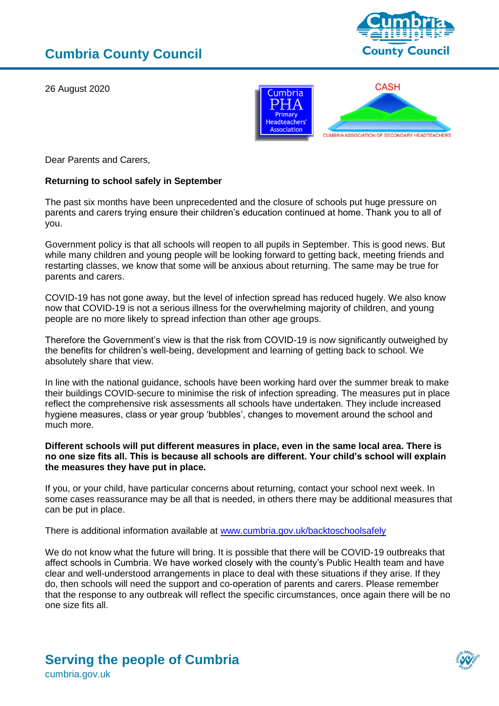26 August 2020





Dear Parents and Carers,

## **Returning to school safely in September**

The past six months have been unprecedented and the closure of schools put huge pressure on parents and carers trying ensure their children's education continued at home. Thank you to all of you.

Government policy is that all schools will reopen to all pupils in September. This is good news. But while many children and young people will be looking forward to getting back, meeting friends and restarting classes, we know that some will be anxious about returning. The same may be true for parents and carers.

COVID-19 has not gone away, but the level of infection spread has reduced hugely. We also know now that COVID-19 is not a serious illness for the overwhelming majority of children, and young people are no more likely to spread infection than other age groups.

Therefore the Government's view is that the risk from COVID-19 is now significantly outweighed by the benefits for children's well-being, development and learning of getting back to school. We absolutely share that view.

In line with the national guidance, schools have been working hard over the summer break to make their buildings COVID-secure to minimise the risk of infection spreading. The measures put in place reflect the comprehensive risk assessments all schools have undertaken. They include increased hygiene measures, class or year group 'bubbles', changes to movement around the school and much more.

## **Different schools will put different measures in place, even in the same local area. There is no one size fits all. This is because all schools are different. Your child's school will explain the measures they have put in place.**

If you, or your child, have particular concerns about returning, contact your school next week. In some cases reassurance may be all that is needed, in others there may be additional measures that can be put in place.

There is additional information available at [www.cumbria.gov.uk/backtoschoolsafely](http://www.cumbria.gov.uk/backtoschoolsafely) 

We do not know what the future will bring. It is possible that there will be COVID-19 outbreaks that affect schools in Cumbria. We have worked closely with the county's Public Health team and have clear and well-understood arrangements in place to deal with these situations if they arise. If they do, then schools will need the support and co-operation of parents and carers. Please remember that the response to any outbreak will reflect the specific circumstances, once again there will be no one size fits all.